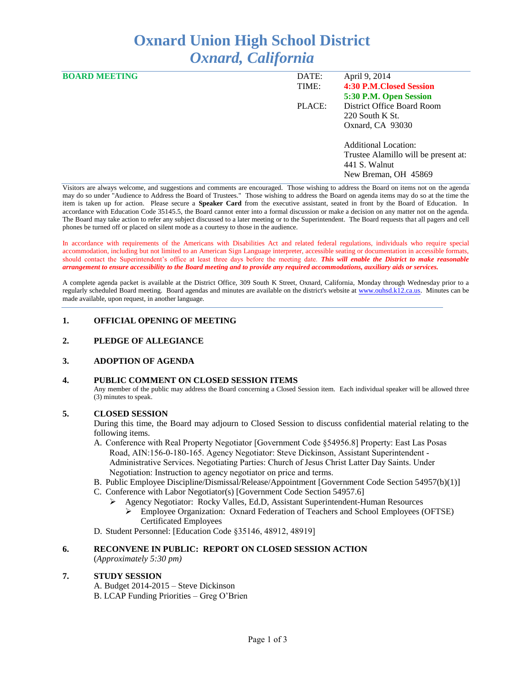# **Oxnard Union High School District** *Oxnard, California*

| <b>BOARD MEETING</b> | DATE:  | April 9, 2014                        |
|----------------------|--------|--------------------------------------|
|                      | TIME:  | 4:30 P.M. Closed Session             |
|                      |        | 5:30 P.M. Open Session               |
|                      | PLACE: | District Office Board Room           |
|                      |        | $220$ South K St.                    |
|                      |        | Oxnard, CA 93030                     |
|                      |        | <b>Additional Location:</b>          |
|                      |        | Trustee Alamillo will be present at: |
|                      |        | 441 S. Walnut                        |
|                      |        | New Breman, OH 45869                 |

Visitors are always welcome, and suggestions and comments are encouraged. Those wishing to address the Board on items not on the agenda may do so under "Audience to Address the Board of Trustees." Those wishing to address the Board on agenda items may do so at the time the item is taken up for action. Please secure a **Speaker Card** from the executive assistant, seated in front by the Board of Education. In accordance with Education Code 35145.5, the Board cannot enter into a formal discussion or make a decision on any matter not on the agenda. The Board may take action to refer any subject discussed to a later meeting or to the Superintendent. The Board requests that all pagers and cell phones be turned off or placed on silent mode as a courtesy to those in the audience.

In accordance with requirements of the Americans with Disabilities Act and related federal regulations, individuals who require special accommodation, including but not limited to an American Sign Language interpreter, accessible seating or documentation in accessible formats, should contact the Superintendent's office at least three days before the meeting date. *This will enable the District to make reasonable arrangement to ensure accessibility to the Board meeting and to provide any required accommodations, auxiliary aids or services.* 

A complete agenda packet is available at the District Office, 309 South K Street, Oxnard, California, Monday through Wednesday prior to a regularly scheduled Board meeting. Board agendas and minutes are available on the district's website at [www.ouhsd.k12.ca.us.](http://www.ouhsd.k12.ca.us/)Minutes can be made available, upon request, in another language.

## **1. OFFICIAL OPENING OF MEETING**

#### **2. PLEDGE OF ALLEGIANCE**

#### **3. ADOPTION OF AGENDA**

#### **4. PUBLIC COMMENT ON CLOSED SESSION ITEMS**

Any member of the public may address the Board concerning a Closed Session item. Each individual speaker will be allowed three (3) minutes to speak.

### **5. CLOSED SESSION**

During this time, the Board may adjourn to Closed Session to discuss confidential material relating to the following items.

- A. Conference with Real Property Negotiator [Government Code §54956.8] Property: East Las Posas Road, AIN:156-0-180-165. Agency Negotiator: Steve Dickinson, Assistant Superintendent - Administrative Services. Negotiating Parties: Church of Jesus Christ Latter Day Saints. Under Negotiation: Instruction to agency negotiator on price and terms.
- B. Public Employee Discipline/Dismissal/Release/Appointment [Government Code Section 54957(b)(1)]
- C. Conference with Labor Negotiator(s) [Government Code Section 54957.6]
	- Agency Negotiator: Rocky Valles, Ed.D, Assistant Superintendent-Human Resources Employee Organization: Oxnard Federation of Teachers and School Employees (OFTSE) Certificated Employees

D. Student Personnel: [Education Code §35146, 48912, 48919]

#### **6. RECONVENE IN PUBLIC: REPORT ON CLOSED SESSION ACTION**

(*Approximately 5:30 pm)*

#### **7. STUDY SESSION**

A. Budget 2014-2015 – Steve Dickinson B. LCAP Funding Priorities – Greg O'Brien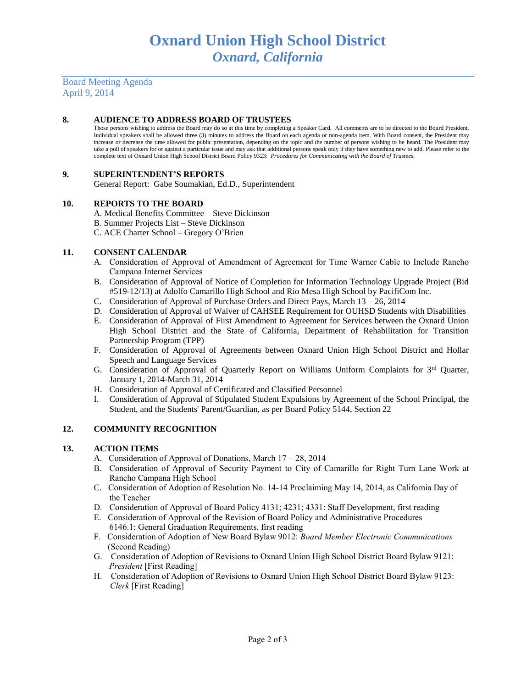Board Meeting Agenda April 9, 2014

## **8. AUDIENCE TO ADDRESS BOARD OF TRUSTEES**

Those persons wishing to address the Board may do so at this time by completing a Speaker Card. All comments are to be directed to the Board President. Individual speakers shall be allowed three (3) minutes to address the Board on each agenda or non-agenda item. With Board consent, the President may increase or decrease the time allowed for public presentation, depending on the topic and the number of persons wishing to be heard. The President may take a poll of speakers for or against a particular issue and may ask that additional persons speak only if they have something new to add. Please refer to the complete text of Oxnard Union High School District Board Policy 9323: *Procedures for Communicating with the Board of Trustees.*

## **9. SUPERINTENDENT'S REPORTS**

General Report: Gabe Soumakian, Ed.D., Superintendent

## **10. REPORTS TO THE BOARD**

- A. Medical Benefits Committee Steve Dickinson
- B. Summer Projects List Steve Dickinson
- C. ACE Charter School Gregory O'Brien

## **11. CONSENT CALENDAR**

- A. Consideration of Approval of Amendment of Agreement for Time Warner Cable to Include Rancho Campana Internet Services
- B. Consideration of Approval of Notice of Completion for Information Technology Upgrade Project (Bid #519-12/13) at Adolfo Camarillo High School and Rio Mesa High School by PacifiCom Inc.
- C. Consideration of Approval of Purchase Orders and Direct Pays, March 13 26, 2014
- D. Consideration of Approval of Waiver of CAHSEE Requirement for OUHSD Students with Disabilities
- E. Consideration of Approval of First Amendment to Agreement for Services between the Oxnard Union High School District and the State of California, Department of Rehabilitation for Transition Partnership Program (TPP)
- F. Consideration of Approval of Agreements between Oxnard Union High School District and Hollar Speech and Language Services
- G. Consideration of Approval of Quarterly Report on Williams Uniform Complaints for 3<sup>rd</sup> Quarter, January 1, 2014-March 31, 2014
- H. Consideration of Approval of Certificated and Classified Personnel
- I. Consideration of Approval of Stipulated Student Expulsions by Agreement of the School Principal, the Student, and the Students' Parent/Guardian, as per Board Policy 5144, Section 22

#### **12. COMMUNITY RECOGNITION**

## **13. ACTION ITEMS**

- A.Consideration of Approval of Donations, March 17 28, 2014
- B.Consideration of Approval of Security Payment to City of Camarillo for Right Turn Lane Work at Rancho Campana High School
- C. Consideration of Adoption of Resolution No. 14-14 Proclaiming May 14, 2014, as California Day of the Teacher
- D. Consideration of Approval of Board Policy 4131; 4231; 4331: Staff Development, first reading
- E. Consideration of Approval of the Revision of Board Policy and Administrative Procedures 6146.1: General Graduation Requirements, first reading
- F. Consideration of Adoption of New Board Bylaw 9012: *Board Member Electronic Communications* (Second Reading)
- G. Consideration of Adoption of Revisions to Oxnard Union High School District Board Bylaw 9121: *President* [First Reading]
- H. Consideration of Adoption of Revisions to Oxnard Union High School District Board Bylaw 9123: *Clerk* [First Reading]